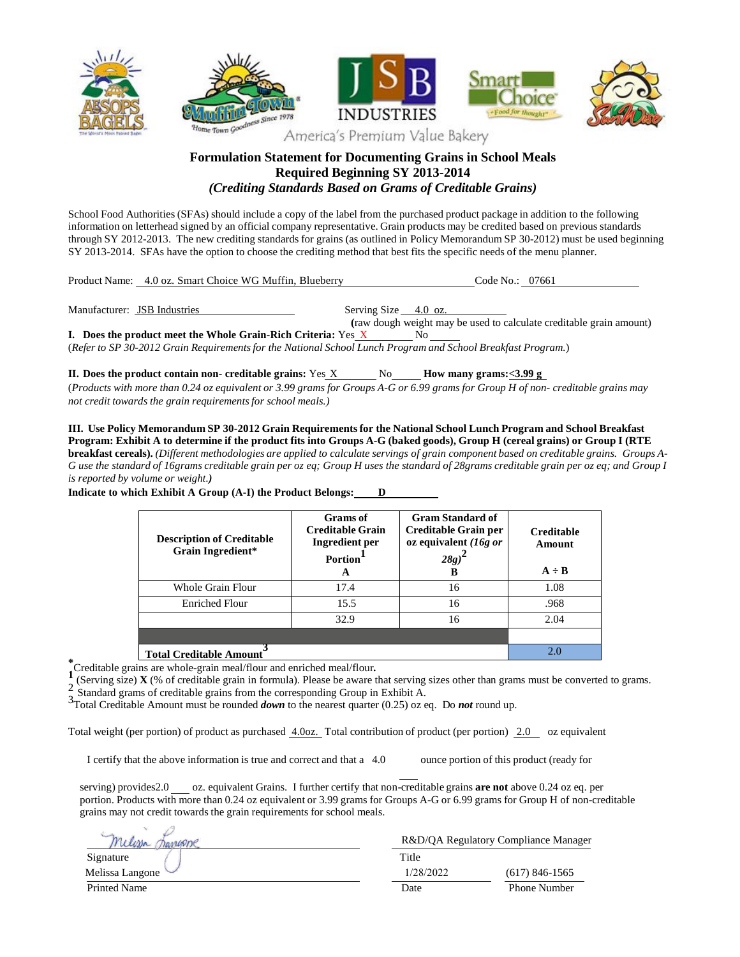

## **Formulation Statement for Documenting Grains in School Meals Required Beginning SY 2013-2014** *(Crediting Standards Based on Grams of Creditable Grains)*

School Food Authorities (SFAs) should include a copy of the label from the purchased product package in addition to the following information on letterhead signed by an official company representative. Grain products may be credited based on previous standards through SY 2012-2013. The new crediting standards for grains (as outlined in Policy Memorandum SP 30-2012) must be used beginning SY 2013-2014. SFAs have the option to choose the crediting method that best fits the specific needs of the menu planner.

| Product Name: 4.0 oz. Smart Choice WG Muffin, Blueberry              | Code No.: 07661                                                            |
|----------------------------------------------------------------------|----------------------------------------------------------------------------|
| Manufacturer: JSB Industries                                         | Serving Size 4.0 oz.                                                       |
| <b>I.</b> Does the product meet the Whole Grain-Rich Criteria: Yes X | (raw dough weight may be used to calculate creditable grain amount)<br>No. |

(*Refer to SP 30-2012 Grain Requirementsfor the National School Lunch Program and School Breakfast Program.*)

**II.** Does the product contain non- creditable grains: Yes  $X = N_0$  How many grams:  $\leq 3.99$  g (Products with more than 0.24 oz equivalent or 3.99 grams for Groups A-G or 6.99 grams for Group H of non- creditable grains may *not credit towards the grain requirementsfor school meals.)*

**III. Use Policy Memorandum SP 30-2012 Grain Requirementsfor the National School Lunch Program and School Breakfast** Program: Exhibit A to determine if the product fits into Groups A-G (baked goods), Group H (cereal grains) or Group I (RTE breakfast cereals). (Different methodologies are applied to calculate servings of grain component based on creditable grains. Groups A-G use the standard of 16grams creditable grain per oz eq; Group H uses the standard of 28grams creditable grain per oz eq; and Group I *is reported by volume or weight.)*

> **Description of Creditable Grain Ingredient\* Grams of Creditable Grain Ingredient per Portion 1 A Gram Standard of Creditable Grain per oz equivalent** *(16g or 28g)* **2 B Creditable Amount**  $A \div B$ Whole Grain Flour  $\begin{array}{ccc} \hline \text{17.4} & \text{16} & \text{108} \\ \hline \end{array}$ Enriched Flour 15.5 16 16 .968 32.9 16 2.04 **Total Creditable Amount 3** 2.0

**Indicate to which Exhibit A Group (A-I) the Product Belongs: D**

\***Creditable grains are whole-grain meal/flour and enriched meal/flour.<br>
<b>1** (Serving size) **Y** (% of creditable grain in formula). Please be aware to

(Serving size) **X** (% of creditable grain in formula). Please be aware that serving sizes other than grams must be converted to grams.

2 Standard grams of creditable grains from the corresponding Group in Exhibit A.

3Total Creditable Amount must be rounded *down* to the nearest quarter (0.25) oz eq. Do *not* round up.

Total weight (per portion) of product as purchased  $\frac{4.00z}{\cdot}$  Total contribution of product (per portion) 2.0 oz equivalent

I certify that the above information is true and correct and that a 4.0 ounce portion of this product (ready for

serving) provides2.0 oz. equivalent Grains. I further certify that non-creditable grains **are not** above 0.24 oz eq. per portion. Products with more than 0.24 oz equivalent or 3.99 grams for Groups A-G or 6.99 grams for Group H of non-creditable grains may not credit towards the grain requirements for school meals.

| Wesse           | R&D/QA Regulatory Compliance Manager |                     |
|-----------------|--------------------------------------|---------------------|
| Signature       | Title                                |                     |
| Melissa Langone | 1/28/2022                            | $(617)$ 846-1565    |
| Printed Name    | Date                                 | <b>Phone Number</b> |